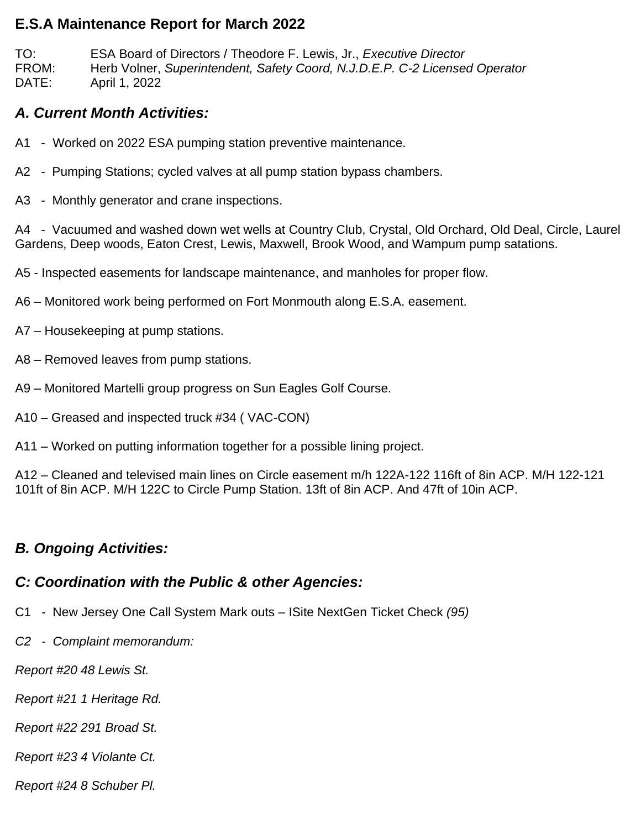#### **E.S.A Maintenance Report for March 2022**

TO: ESA Board of Directors / Theodore F. Lewis, Jr., *Executive Director* FROM: Herb Volner, *Superintendent, Safety Coord, N.J.D.E.P. C-2 Licensed Operator* DATE: April 1, 2022

### *A. Current Month Activities:*

- A1 Worked on 2022 ESA pumping station preventive maintenance.
- A2 Pumping Stations; cycled valves at all pump station bypass chambers.
- A3 Monthly generator and crane inspections.

A4 - Vacuumed and washed down wet wells at Country Club, Crystal, Old Orchard, Old Deal, Circle, Laurel Gardens, Deep woods, Eaton Crest, Lewis, Maxwell, Brook Wood, and Wampum pump satations.

A5 - Inspected easements for landscape maintenance, and manholes for proper flow.

- A6 Monitored work being performed on Fort Monmouth along E.S.A. easement.
- A7 Housekeeping at pump stations.
- A8 Removed leaves from pump stations.
- A9 Monitored Martelli group progress on Sun Eagles Golf Course.
- A10 Greased and inspected truck #34 ( VAC-CON)
- A11 Worked on putting information together for a possible lining project.

A12 – Cleaned and televised main lines on Circle easement m/h 122A-122 116ft of 8in ACP. M/H 122-121 101ft of 8in ACP. M/H 122C to Circle Pump Station. 13ft of 8in ACP. And 47ft of 10in ACP.

# *B. Ongoing Activities:*

## *C: Coordination with the Public & other Agencies:*

- C1 New Jersey One Call System Mark outs ISite NextGen Ticket Check *(95)*
- *C2 Complaint memorandum:*

*Report #20 48 Lewis St.*

*Report #21 1 Heritage Rd.*

*Report #22 291 Broad St.*

*Report #23 4 Violante Ct.*

*Report #24 8 Schuber Pl.*